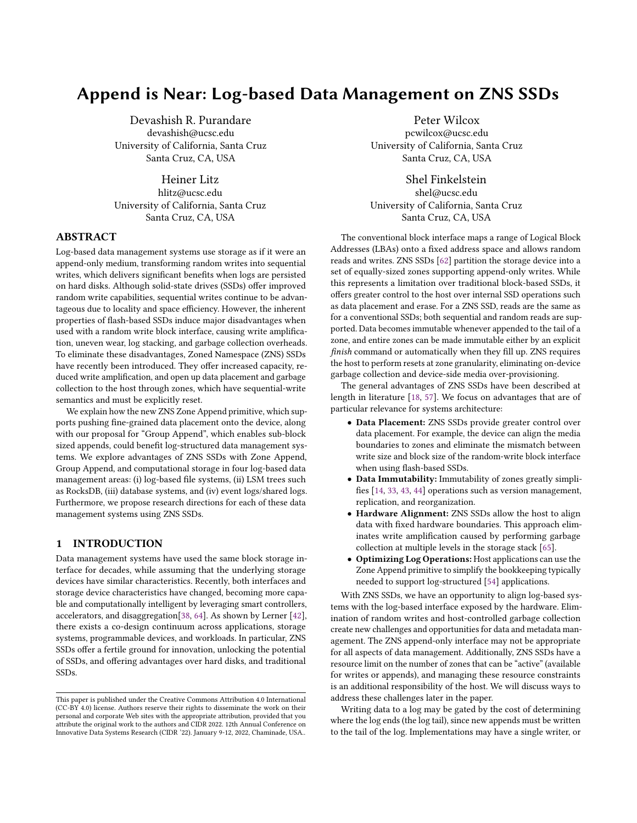# Append is Near: Log-based Data Management on ZNS SSDs

Devashish R. Purandare devashish@ucsc.edu University of California, Santa Cruz Santa Cruz, CA, USA

Heiner Litz hlitz@ucsc.edu University of California, Santa Cruz Santa Cruz, CA, USA

# ABSTRACT

Log-based data management systems use storage as if it were an append-only medium, transforming random writes into sequential writes, which delivers significant benefits when logs are persisted on hard disks. Although solid-state drives (SSDs) offer improved random write capabilities, sequential writes continue to be advantageous due to locality and space efficiency. However, the inherent properties of flash-based SSDs induce major disadvantages when used with a random write block interface, causing write amplification, uneven wear, log stacking, and garbage collection overheads. To eliminate these disadvantages, Zoned Namespace (ZNS) SSDs have recently been introduced. They offer increased capacity, reduced write amplification, and open up data placement and garbage collection to the host through zones, which have sequential-write semantics and must be explicitly reset.

We explain how the new ZNS Zone Append primitive, which supports pushing fine-grained data placement onto the device, along with our proposal for "Group Append", which enables sub-block sized appends, could benefit log-structured data management systems. We explore advantages of ZNS SSDs with Zone Append, Group Append, and computational storage in four log-based data management areas: (i) log-based file systems, (ii) LSM trees such as RocksDB, (iii) database systems, and (iv) event logs/shared logs. Furthermore, we propose research directions for each of these data management systems using ZNS SSDs.

# <span id="page-0-0"></span>1 INTRODUCTION

Data management systems have used the same block storage interface for decades, while assuming that the underlying storage devices have similar characteristics. Recently, both interfaces and storage device characteristics have changed, becoming more capable and computationally intelligent by leveraging smart controllers, accelerators, and disaggregation[\[38,](#page-8-0) [64\]](#page-9-0). As shown by Lerner [\[42\]](#page-8-1), there exists a co-design continuum across applications, storage systems, programmable devices, and workloads. In particular, ZNS SSDs offer a fertile ground for innovation, unlocking the potential of SSDs, and offering advantages over hard disks, and traditional SSDs.

Peter Wilcox

pcwilcox@ucsc.edu University of California, Santa Cruz Santa Cruz, CA, USA

Shel Finkelstein shel@ucsc.edu University of California, Santa Cruz Santa Cruz, CA, USA

The conventional block interface maps a range of Logical Block Addresses (LBAs) onto a fixed address space and allows random reads and writes. ZNS SSDs [\[62\]](#page-9-1) partition the storage device into a set of equally-sized zones supporting append-only writes. While this represents a limitation over traditional block-based SSDs, it offers greater control to the host over internal SSD operations such as data placement and erase. For a ZNS SSD, reads are the same as for a conventional SSDs; both sequential and random reads are supported. Data becomes immutable whenever appended to the tail of a zone, and entire zones can be made immutable either by an explicit finish command or automatically when they fill up. ZNS requires the host to perform resets at zone granularity, eliminating on-device garbage collection and device-side media over-provisioning.

The general advantages of ZNS SSDs have been described at length in literature [\[18,](#page-8-2) [57\]](#page-9-2). We focus on advantages that are of particular relevance for systems architecture:

- Data Placement: ZNS SSDs provide greater control over data placement. For example, the device can align the media boundaries to zones and eliminate the mismatch between write size and block size of the random-write block interface when using flash-based SSDs.
- Data Immutability: Immutability of zones greatly simplifies [\[14,](#page-8-3) [33,](#page-8-4) [43,](#page-8-5) [44\]](#page-8-6) operations such as version management, replication, and reorganization.
- Hardware Alignment: ZNS SSDs allow the host to align data with fixed hardware boundaries. This approach eliminates write amplification caused by performing garbage collection at multiple levels in the storage stack [\[65\]](#page-9-3).
- Optimizing Log Operations: Host applications can use the Zone Append primitive to simplify the bookkeeping typically needed to support log-structured [\[54\]](#page-8-7) applications.

With ZNS SSDs, we have an opportunity to align log-based systems with the log-based interface exposed by the hardware. Elimination of random writes and host-controlled garbage collection create new challenges and opportunities for data and metadata management. The ZNS append-only interface may not be appropriate for all aspects of data management. Additionally, ZNS SSDs have a resource limit on the number of zones that can be "active" (available for writes or appends), and managing these resource constraints is an additional responsibility of the host. We will discuss ways to address these challenges later in the paper.

Writing data to a log may be gated by the cost of determining where the log ends (the log tail), since new appends must be written to the tail of the log. Implementations may have a single writer, or

This paper is published under the Creative Commons Attribution 4.0 International (CC-BY 4.0) license. Authors reserve their rights to disseminate the work on their personal and corporate Web sites with the appropriate attribution, provided that you attribute the original work to the authors and CIDR 2022. 12th Annual Conference on Innovative Data Systems Research (CIDR '22). January 9-12, 2022, Chaminade, USA..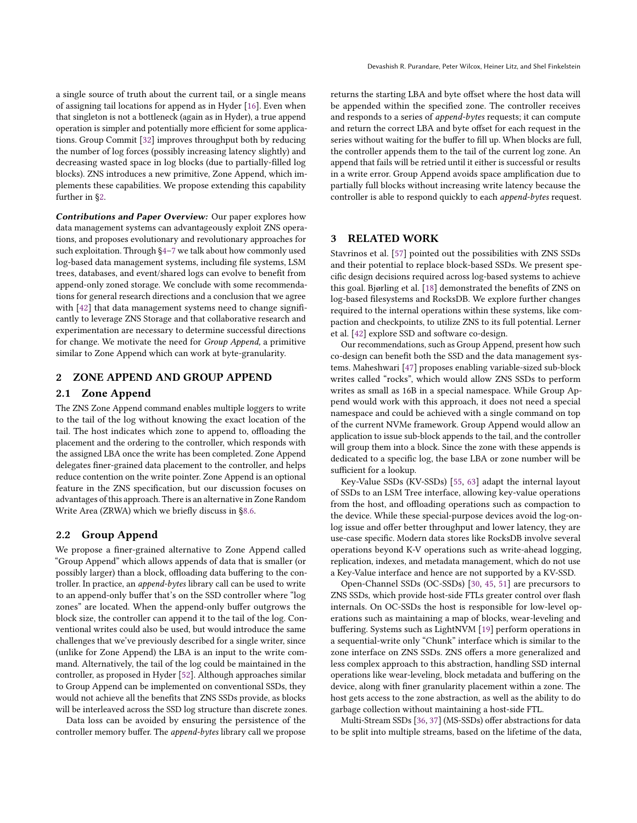a single source of truth about the current tail, or a single means of assigning tail locations for append as in Hyder [\[16\]](#page-8-8). Even when that singleton is not a bottleneck (again as in Hyder), a true append operation is simpler and potentially more efficient for some applications. Group Commit [\[32\]](#page-8-9) improves throughput both by reducing the number of log forces (possibly increasing latency slightly) and decreasing wasted space in log blocks (due to partially-filled log blocks). ZNS introduces a new primitive, Zone Append, which implements these capabilities. We propose extending this capability further in [§2.](#page-1-0)

Contributions and Paper Overview: Our paper explores how data management systems can advantageously exploit ZNS operations, and proposes evolutionary and revolutionary approaches for such exploitation. Through [§4](#page-2-0)[–7](#page-6-0) we talk about how commonly used log-based data management systems, including file systems, LSM trees, databases, and event/shared logs can evolve to benefit from append-only zoned storage. We conclude with some recommendations for general research directions and a conclusion that we agree with [\[42\]](#page-8-1) that data management systems need to change significantly to leverage ZNS Storage and that collaborative research and experimentation are necessary to determine successful directions for change. We motivate the need for Group Append, a primitive similar to Zone Append which can work at byte-granularity.

# <span id="page-1-0"></span>2 ZONE APPEND AND GROUP APPEND

## 2.1 Zone Append

The ZNS Zone Append command enables multiple loggers to write to the tail of the log without knowing the exact location of the tail. The host indicates which zone to append to, offloading the placement and the ordering to the controller, which responds with the assigned LBA once the write has been completed. Zone Append delegates finer-grained data placement to the controller, and helps reduce contention on the write pointer. Zone Append is an optional feature in the ZNS specification, but our discussion focuses on advantages of this approach. There is an alternative in Zone Random Write Area (ZRWA) which we briefly discuss in [§8.6.](#page-7-0)

## 2.2 Group Append

We propose a finer-grained alternative to Zone Append called "Group Append" which allows appends of data that is smaller (or possibly larger) than a block, offloading data buffering to the controller. In practice, an append-bytes library call can be used to write to an append-only buffer that's on the SSD controller where "log zones" are located. When the append-only buffer outgrows the block size, the controller can append it to the tail of the log. Conventional writes could also be used, but would introduce the same challenges that we've previously described for a single writer, since (unlike for Zone Append) the LBA is an input to the write command. Alternatively, the tail of the log could be maintained in the controller, as proposed in Hyder [\[52\]](#page-8-10). Although approaches similar to Group Append can be implemented on conventional SSDs, they would not achieve all the benefits that ZNS SSDs provide, as blocks will be interleaved across the SSD log structure than discrete zones.

Data loss can be avoided by ensuring the persistence of the controller memory buffer. The append-bytes library call we propose returns the starting LBA and byte offset where the host data will be appended within the specified zone. The controller receives and responds to a series of append-bytes requests; it can compute and return the correct LBA and byte offset for each request in the series without waiting for the buffer to fill up. When blocks are full, the controller appends them to the tail of the current log zone. An append that fails will be retried until it either is successful or results in a write error. Group Append avoids space amplification due to partially full blocks without increasing write latency because the controller is able to respond quickly to each append-bytes request.

# 3 RELATED WORK

Stavrinos et al. [\[57\]](#page-9-2) pointed out the possibilities with ZNS SSDs and their potential to replace block-based SSDs. We present specific design decisions required across log-based systems to achieve this goal. Bjørling et al. [\[18\]](#page-8-2) demonstrated the benefits of ZNS on log-based filesystems and RocksDB. We explore further changes required to the internal operations within these systems, like compaction and checkpoints, to utilize ZNS to its full potential. Lerner et al. [\[42\]](#page-8-1) explore SSD and software co-design.

Our recommendations, such as Group Append, present how such co-design can benefit both the SSD and the data management systems. Maheshwari [\[47\]](#page-8-11) proposes enabling variable-sized sub-block writes called "rocks", which would allow ZNS SSDs to perform writes as small as 16B in a special namespace. While Group Append would work with this approach, it does not need a special namespace and could be achieved with a single command on top of the current NVMe framework. Group Append would allow an application to issue sub-block appends to the tail, and the controller will group them into a block. Since the zone with these appends is dedicated to a specific log, the base LBA or zone number will be sufficient for a lookup.

Key-Value SSDs (KV-SSDs) [\[55,](#page-8-12) [63\]](#page-9-4) adapt the internal layout of SSDs to an LSM Tree interface, allowing key-value operations from the host, and offloading operations such as compaction to the device. While these special-purpose devices avoid the log-onlog issue and offer better throughput and lower latency, they are use-case specific. Modern data stores like RocksDB involve several operations beyond K-V operations such as write-ahead logging, replication, indexes, and metadata management, which do not use a Key-Value interface and hence are not supported by a KV-SSD.

Open-Channel SSDs (OC-SSDs) [\[30,](#page-8-13) [45,](#page-8-14) [51\]](#page-8-15) are precursors to ZNS SSDs, which provide host-side FTLs greater control over flash internals. On OC-SSDs the host is responsible for low-level operations such as maintaining a map of blocks, wear-leveling and buffering. Systems such as LightNVM [\[19\]](#page-8-16) perform operations in a sequential-write only "Chunk" interface which is similar to the zone interface on ZNS SSDs. ZNS offers a more generalized and less complex approach to this abstraction, handling SSD internal operations like wear-leveling, block metadata and buffering on the device, along with finer granularity placement within a zone. The host gets access to the zone abstraction, as well as the ability to do garbage collection without maintaining a host-side FTL.

Multi-Stream SSDs [\[36,](#page-8-17) [37\]](#page-8-18) (MS-SSDs) offer abstractions for data to be split into multiple streams, based on the lifetime of the data,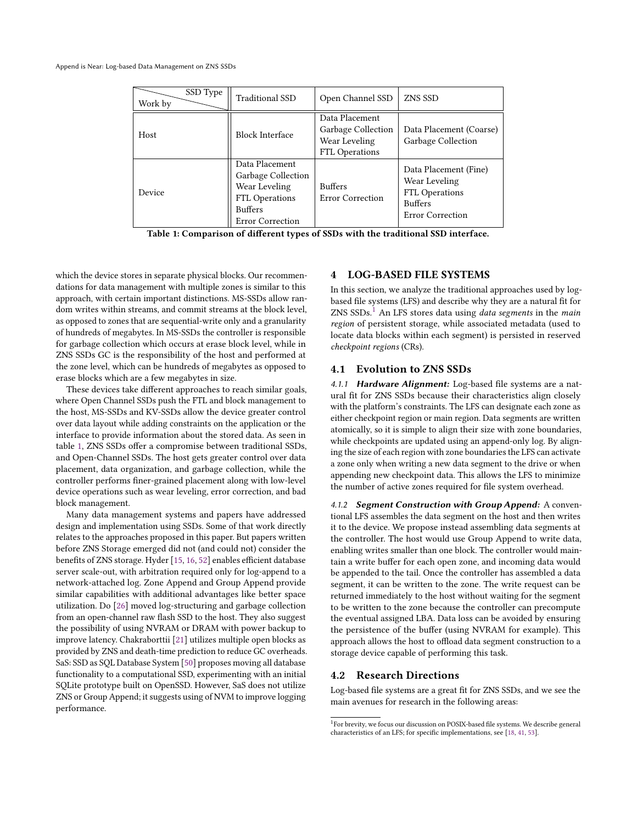<span id="page-2-1"></span>

| SSD Type<br>Work by | Traditional SSD                                                                                                             | Open Channel SSD                                                        | ZNS SSD                                                                                                      |
|---------------------|-----------------------------------------------------------------------------------------------------------------------------|-------------------------------------------------------------------------|--------------------------------------------------------------------------------------------------------------|
| Host                | <b>Block Interface</b>                                                                                                      | Data Placement<br>Garbage Collection<br>Wear Leveling<br>FTL Operations | Data Placement (Coarse)<br>Garbage Collection                                                                |
| Device              | Data Placement<br>Garbage Collection<br>Wear Leveling<br><b>FTL Operations</b><br><b>Buffers</b><br><b>Error Correction</b> | <b>Buffers</b><br><b>Error Correction</b>                               | Data Placement (Fine)<br>Wear Leveling<br><b>FTL Operations</b><br><b>Buffers</b><br><b>Error Correction</b> |

Table 1: Comparison of different types of SSDs with the traditional SSD interface.

which the device stores in separate physical blocks. Our recommendations for data management with multiple zones is similar to this approach, with certain important distinctions. MS-SSDs allow random writes within streams, and commit streams at the block level, as opposed to zones that are sequential-write only and a granularity of hundreds of megabytes. In MS-SSDs the controller is responsible for garbage collection which occurs at erase block level, while in ZNS SSDs GC is the responsibility of the host and performed at the zone level, which can be hundreds of megabytes as opposed to erase blocks which are a few megabytes in size.

These devices take different approaches to reach similar goals, where Open Channel SSDs push the FTL and block management to the host, MS-SSDs and KV-SSDs allow the device greater control over data layout while adding constraints on the application or the interface to provide information about the stored data. As seen in table [1,](#page-2-1) ZNS SSDs offer a compromise between traditional SSDs, and Open-Channel SSDs. The host gets greater control over data placement, data organization, and garbage collection, while the controller performs finer-grained placement along with low-level device operations such as wear leveling, error correction, and bad block management.

Many data management systems and papers have addressed design and implementation using SSDs. Some of that work directly relates to the approaches proposed in this paper. But papers written before ZNS Storage emerged did not (and could not) consider the benefits of ZNS storage. Hyder [\[15,](#page-8-19) [16,](#page-8-8) [52\]](#page-8-10) enables efficient database server scale-out, with arbitration required only for log-append to a network-attached log. Zone Append and Group Append provide similar capabilities with additional advantages like better space utilization. Do [\[26\]](#page-8-20) moved log-structuring and garbage collection from an open-channel raw flash SSD to the host. They also suggest the possibility of using NVRAM or DRAM with power backup to improve latency. Chakraborttii [\[21\]](#page-8-21) utilizes multiple open blocks as provided by ZNS and death-time prediction to reduce GC overheads. SaS: SSD as SQL Database System [\[50\]](#page-8-22) proposes moving all database functionality to a computational SSD, experimenting with an initial SQLite prototype built on OpenSSD. However, SaS does not utilize ZNS or Group Append; it suggests using of NVM to improve logging performance.

# <span id="page-2-0"></span>4 LOG-BASED FILE SYSTEMS

In this section, we analyze the traditional approaches used by logbased file systems (LFS) and describe why they are a natural fit for  $ZNS$  SSDs.<sup>[1](#page-2-2)</sup> An LFS stores data using *data segments* in the *main* region of persistent storage, while associated metadata (used to locate data blocks within each segment) is persisted in reserved checkpoint regions (CRs).

#### 4.1 Evolution to ZNS SSDs

4.1.1 Hardware Alignment: Log-based file systems are a natural fit for ZNS SSDs because their characteristics align closely with the platform's constraints. The LFS can designate each zone as either checkpoint region or main region. Data segments are written atomically, so it is simple to align their size with zone boundaries, while checkpoints are updated using an append-only log. By aligning the size of each region with zone boundaries the LFS can activate a zone only when writing a new data segment to the drive or when appending new checkpoint data. This allows the LFS to minimize the number of active zones required for file system overhead.

4.1.2 Segment Construction with Group Append: A conventional LFS assembles the data segment on the host and then writes it to the device. We propose instead assembling data segments at the controller. The host would use Group Append to write data, enabling writes smaller than one block. The controller would maintain a write buffer for each open zone, and incoming data would be appended to the tail. Once the controller has assembled a data segment, it can be written to the zone. The write request can be returned immediately to the host without waiting for the segment to be written to the zone because the controller can precompute the eventual assigned LBA. Data loss can be avoided by ensuring the persistence of the buffer (using NVRAM for example). This approach allows the host to offload data segment construction to a storage device capable of performing this task.

#### 4.2 Research Directions

Log-based file systems are a great fit for ZNS SSDs, and we see the main avenues for research in the following areas:

<span id="page-2-2"></span><sup>&</sup>lt;sup>1</sup>For brevity, we focus our discussion on POSIX-based file systems. We describe general characteristics of an LFS; for specific implementations, see [\[18,](#page-8-2) [41,](#page-8-23) [53\]](#page-8-24).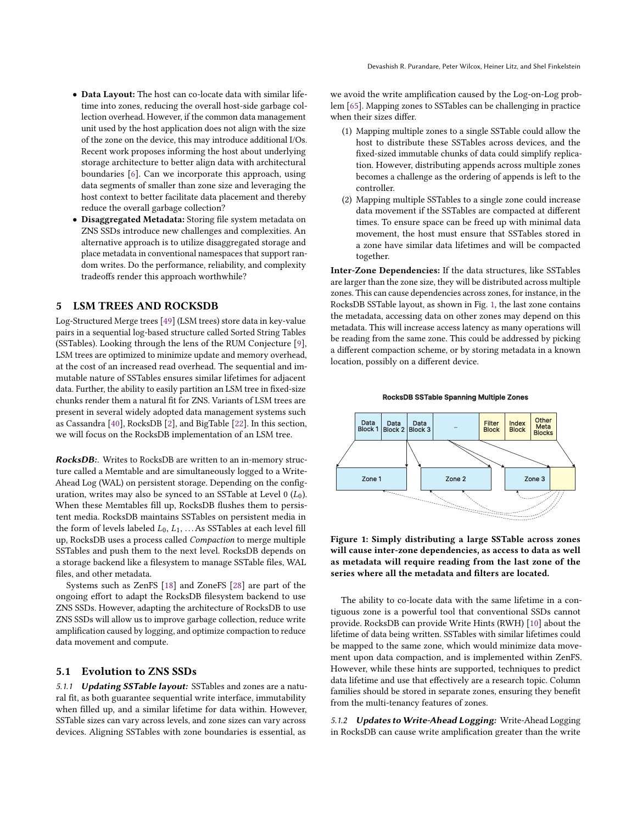- Data Layout: The host can co-locate data with similar lifetime into zones, reducing the overall host-side garbage collection overhead. However, if the common data management unit used by the host application does not align with the size of the zone on the device, this may introduce additional I/Os. Recent work proposes informing the host about underlying storage architecture to better align data with architectural boundaries [\[6\]](#page-7-1). Can we incorporate this approach, using data segments of smaller than zone size and leveraging the host context to better facilitate data placement and thereby reduce the overall garbage collection?
- Disaggregated Metadata: Storing file system metadata on ZNS SSDs introduce new challenges and complexities. An alternative approach is to utilize disaggregated storage and place metadata in conventional namespaces that support random writes. Do the performance, reliability, and complexity tradeoffs render this approach worthwhile?

# <span id="page-3-1"></span>5 LSM TREES AND ROCKSDB

Log-Structured Merge trees [\[49\]](#page-8-25) (LSM trees) store data in key-value pairs in a sequential log-based structure called Sorted String Tables (SSTables). Looking through the lens of the RUM Conjecture [\[9\]](#page-7-2), LSM trees are optimized to minimize update and memory overhead, at the cost of an increased read overhead. The sequential and immutable nature of SSTables ensures similar lifetimes for adjacent data. Further, the ability to easily partition an LSM tree in fixed-size chunks render them a natural fit for ZNS. Variants of LSM trees are present in several widely adopted data management systems such as Cassandra [\[40\]](#page-8-26), RocksDB [\[2\]](#page-7-3), and BigTable [\[22\]](#page-8-27). In this section, we will focus on the RocksDB implementation of an LSM tree.

RocksDB:. Writes to RocksDB are written to an in-memory structure called a Memtable and are simultaneously logged to a Write-Ahead Log (WAL) on persistent storage. Depending on the configuration, writes may also be synced to an SSTable at Level  $0(L_0)$ . When these Memtables fill up, RocksDB flushes them to persistent media. RocksDB maintains SSTables on persistent media in the form of levels labeled  $L_0$ ,  $L_1$ , ...As SSTables at each level fill up, RocksDB uses a process called Compaction to merge multiple SSTables and push them to the next level. RocksDB depends on a storage backend like a filesystem to manage SSTable files, WAL files, and other metadata.

Systems such as ZenFS [\[18\]](#page-8-2) and ZoneFS [\[28\]](#page-8-28) are part of the ongoing effort to adapt the RocksDB filesystem backend to use ZNS SSDs. However, adapting the architecture of RocksDB to use ZNS SSDs will allow us to improve garbage collection, reduce write amplification caused by logging, and optimize compaction to reduce data movement and compute.

## 5.1 Evolution to ZNS SSDs

5.1.1 Updating SSTable layout: SSTables and zones are a natural fit, as both guarantee sequential write interface, immutability when filled up, and a similar lifetime for data within. However, SSTable sizes can vary across levels, and zone sizes can vary across devices. Aligning SSTables with zone boundaries is essential, as

we avoid the write amplification caused by the Log-on-Log problem [\[65\]](#page-9-3). Mapping zones to SSTables can be challenging in practice when their sizes differ.

- (1) Mapping multiple zones to a single SSTable could allow the host to distribute these SSTables across devices, and the fixed-sized immutable chunks of data could simplify replication. However, distributing appends across multiple zones becomes a challenge as the ordering of appends is left to the controller.
- (2) Mapping multiple SSTables to a single zone could increase data movement if the SSTables are compacted at different times. To ensure space can be freed up with minimal data movement, the host must ensure that SSTables stored in a zone have similar data lifetimes and will be compacted together.

Inter-Zone Dependencies: If the data structures, like SSTables are larger than the zone size, they will be distributed across multiple zones. This can cause dependencies across zones, for instance, in the RocksDB SSTable layout, as shown in Fig. [1,](#page-3-0) the last zone contains the metadata, accessing data on other zones may depend on this metadata. This will increase access latency as many operations will be reading from the same zone. This could be addressed by picking a different compaction scheme, or by storing metadata in a known location, possibly on a different device.

<span id="page-3-0"></span>

#### **RocksDB SSTable Spanning Multiple Zones**

Figure 1: Simply distributing a large SSTable across zones will cause inter-zone dependencies, as access to data as well as metadata will require reading from the last zone of the series where all the metadata and filters are located.

The ability to co-locate data with the same lifetime in a contiguous zone is a powerful tool that conventional SSDs cannot provide. RocksDB can provide Write Hints (RWH) [\[10\]](#page-7-4) about the lifetime of data being written. SSTables with similar lifetimes could be mapped to the same zone, which would minimize data movement upon data compaction, and is implemented within ZenFS. However, while these hints are supported, techniques to predict data lifetime and use that effectively are a research topic. Column families should be stored in separate zones, ensuring they benefit from the multi-tenancy features of zones.

5.1.2 Updates to Write-Ahead Logging: Write-Ahead Logging in RocksDB can cause write amplification greater than the write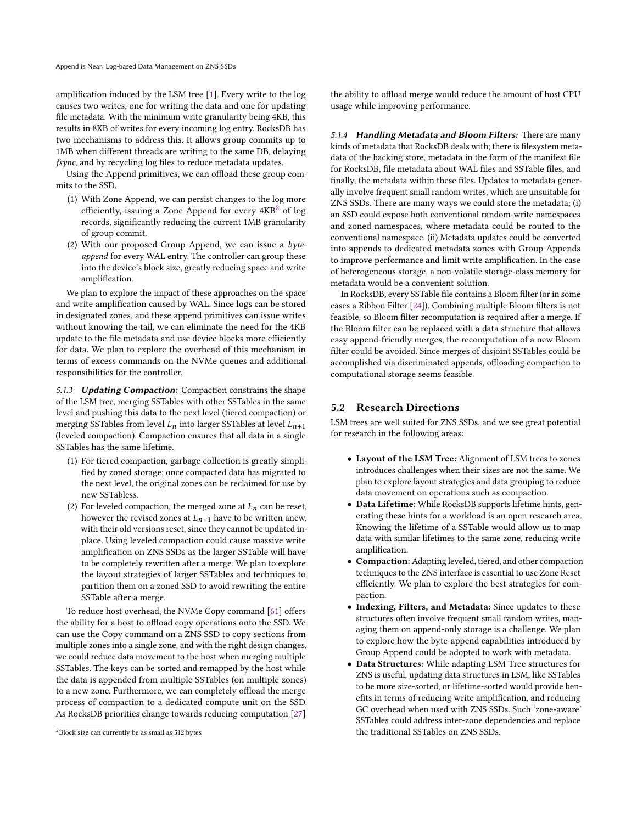amplification induced by the LSM tree [\[1\]](#page-7-5). Every write to the log causes two writes, one for writing the data and one for updating file metadata. With the minimum write granularity being 4KB, this results in 8KB of writes for every incoming log entry. RocksDB has two mechanisms to address this. It allows group commits up to 1MB when different threads are writing to the same DB, delaying fsync, and by recycling log files to reduce metadata updates.

Using the Append primitives, we can offload these group commits to the SSD.

- (1) With Zone Append, we can persist changes to the log more efficiently, issuing a Zone Append for every  $4KB^2$  $4KB^2$  of log records, significantly reducing the current 1MB granularity of group commit.
- (2) With our proposed Group Append, we can issue a byteappend for every WAL entry. The controller can group these into the device's block size, greatly reducing space and write amplification.

We plan to explore the impact of these approaches on the space and write amplification caused by WAL. Since logs can be stored in designated zones, and these append primitives can issue writes without knowing the tail, we can eliminate the need for the 4KB update to the file metadata and use device blocks more efficiently for data. We plan to explore the overhead of this mechanism in terms of excess commands on the NVMe queues and additional responsibilities for the controller.

5.1.3 Updating Compaction: Compaction constrains the shape of the LSM tree, merging SSTables with other SSTables in the same level and pushing this data to the next level (tiered compaction) or merging SSTables from level  $L_n$  into larger SSTables at level  $L_{n+1}$ (leveled compaction). Compaction ensures that all data in a single SSTables has the same lifetime.

- (1) For tiered compaction, garbage collection is greatly simplified by zoned storage; once compacted data has migrated to the next level, the original zones can be reclaimed for use by new SSTabless.
- (2) For leveled compaction, the merged zone at  $L_n$  can be reset, however the revised zones at  $L_{n+1}$  have to be written anew, with their old versions reset, since they cannot be updated inplace. Using leveled compaction could cause massive write amplification on ZNS SSDs as the larger SSTable will have to be completely rewritten after a merge. We plan to explore the layout strategies of larger SSTables and techniques to partition them on a zoned SSD to avoid rewriting the entire SSTable after a merge.

To reduce host overhead, the NVMe Copy command [\[61\]](#page-9-5) offers the ability for a host to offload copy operations onto the SSD. We can use the Copy command on a ZNS SSD to copy sections from multiple zones into a single zone, and with the right design changes, we could reduce data movement to the host when merging multiple SSTables. The keys can be sorted and remapped by the host while the data is appended from multiple SSTables (on multiple zones) to a new zone. Furthermore, we can completely offload the merge process of compaction to a dedicated compute unit on the SSD. As RocksDB priorities change towards reducing computation [\[27\]](#page-8-29)

the ability to offload merge would reduce the amount of host CPU usage while improving performance.

5.1.4 Handling Metadata and Bloom Filters: There are many kinds of metadata that RocksDB deals with; there is filesystem metadata of the backing store, metadata in the form of the manifest file for RocksDB, file metadata about WAL files and SSTable files, and finally, the metadata within these files. Updates to metadata generally involve frequent small random writes, which are unsuitable for ZNS SSDs. There are many ways we could store the metadata; (i) an SSD could expose both conventional random-write namespaces and zoned namespaces, where metadata could be routed to the conventional namespace. (ii) Metadata updates could be converted into appends to dedicated metadata zones with Group Appends to improve performance and limit write amplification. In the case of heterogeneous storage, a non-volatile storage-class memory for metadata would be a convenient solution.

In RocksDB, every SSTable file contains a Bloom filter (or in some cases a Ribbon Filter [\[24\]](#page-8-30)). Combining multiple Bloom filters is not feasible, so Bloom filter recomputation is required after a merge. If the Bloom filter can be replaced with a data structure that allows easy append-friendly merges, the recomputation of a new Bloom filter could be avoided. Since merges of disjoint SSTables could be accomplished via discriminated appends, offloading compaction to computational storage seems feasible.

# 5.2 Research Directions

LSM trees are well suited for ZNS SSDs, and we see great potential for research in the following areas:

- Layout of the LSM Tree: Alignment of LSM trees to zones introduces challenges when their sizes are not the same. We plan to explore layout strategies and data grouping to reduce data movement on operations such as compaction.
- Data Lifetime: While RocksDB supports lifetime hints, generating these hints for a workload is an open research area. Knowing the lifetime of a SSTable would allow us to map data with similar lifetimes to the same zone, reducing write amplification.
- Compaction:Adapting leveled, tiered, and other compaction techniques to the ZNS interface is essential to use Zone Reset efficiently. We plan to explore the best strategies for compaction.
- Indexing, Filters, and Metadata: Since updates to these structures often involve frequent small random writes, managing them on append-only storage is a challenge. We plan to explore how the byte-append capabilities introduced by Group Append could be adopted to work with metadata.
- Data Structures: While adapting LSM Tree structures for ZNS is useful, updating data structures in LSM, like SSTables to be more size-sorted, or lifetime-sorted would provide benefits in terms of reducing write amplification, and reducing GC overhead when used with ZNS SSDs. Such 'zone-aware' SSTables could address inter-zone dependencies and replace the traditional SSTables on ZNS SSDs.

<span id="page-4-0"></span><sup>2</sup>Block size can currently be as small as 512 bytes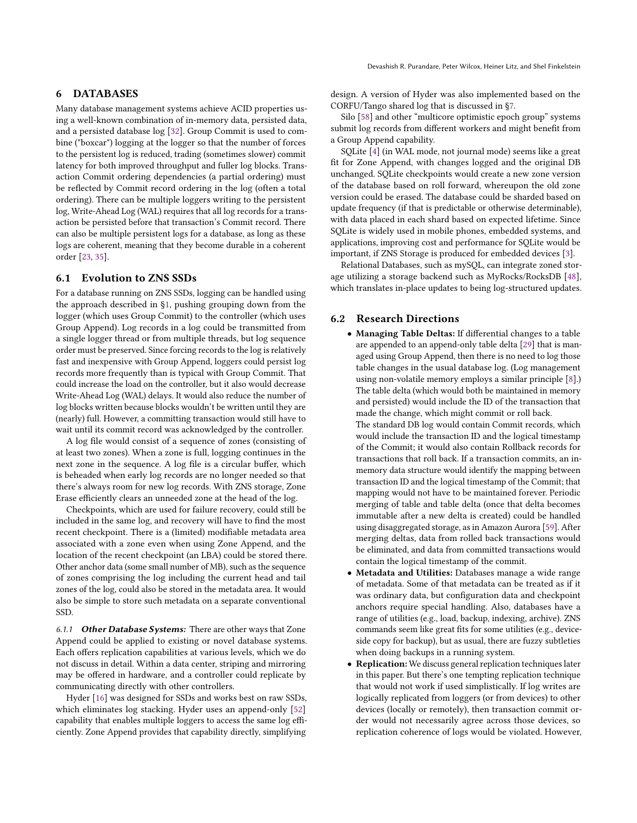## 6 DATABASES

Many database management systems achieve ACID properties using a well-known combination of in-memory data, persisted data, and a persisted database log [\[32\]](#page-8-9). Group Commit is used to combine ("boxcar") logging at the logger so that the number of forces to the persistent log is reduced, trading (sometimes slower) commit latency for both improved throughput and fuller log blocks. Transaction Commit ordering dependencies (a partial ordering) must be reflected by Commit record ordering in the log (often a total ordering). There can be multiple loggers writing to the persistent log, Write-Ahead Log (WAL) requires that all log records for a transaction be persisted before that transaction's Commit record. There can also be multiple persistent logs for a database, as long as these logs are coherent, meaning that they become durable in a coherent order [\[23,](#page-8-31) [35\]](#page-8-32).

## 6.1 Evolution to ZNS SSDs

For a database running on ZNS SSDs, logging can be handled using the approach described in [§1,](#page-0-0) pushing grouping down from the logger (which uses Group Commit) to the controller (which uses Group Append). Log records in a log could be transmitted from a single logger thread or from multiple threads, but log sequence order must be preserved. Since forcing records to the log is relatively fast and inexpensive with Group Append, loggers could persist log records more frequently than is typical with Group Commit. That could increase the load on the controller, but it also would decrease Write-Ahead Log (WAL) delays. It would also reduce the number of log blocks written because blocks wouldn't be written until they are (nearly) full. However, a committing transaction would still have to wait until its commit record was acknowledged by the controller.

A log file would consist of a sequence of zones (consisting of at least two zones). When a zone is full, logging continues in the next zone in the sequence. A log file is a circular buffer, which is beheaded when early log records are no longer needed so that there's always room for new log records. With ZNS storage, Zone Erase efficiently clears an unneeded zone at the head of the log.

Checkpoints, which are used for failure recovery, could still be included in the same log, and recovery will have to find the most recent checkpoint. There is a (limited) modifiable metadata area associated with a zone even when using Zone Append, and the location of the recent checkpoint (an LBA) could be stored there. Other anchor data (some small number of MB), such as the sequence of zones comprising the log including the current head and tail zones of the log, could also be stored in the metadata area. It would also be simple to store such metadata on a separate conventional SSD.

6.1.1 Other Database Systems: There are other ways that Zone Append could be applied to existing or novel database systems. Each offers replication capabilities at various levels, which we do not discuss in detail. Within a data center, striping and mirroring may be offered in hardware, and a controller could replicate by communicating directly with other controllers.

Hyder [\[16\]](#page-8-8) was designed for SSDs and works best on raw SSDs, which eliminates log stacking. Hyder uses an append-only [\[52\]](#page-8-10) capability that enables multiple loggers to access the same log efficiently. Zone Append provides that capability directly, simplifying

design. A version of Hyder was also implemented based on the CORFU/Tango shared log that is discussed in [§7.](#page-6-0)

Silo [\[58\]](#page-9-6) and other "multicore optimistic epoch group" systems submit log records from different workers and might benefit from a Group Append capability.

SQLite [\[4\]](#page-7-6) (in WAL mode, not journal mode) seems like a great fit for Zone Append, with changes logged and the original DB unchanged. SQLite checkpoints would create a new zone version of the database based on roll forward, whereupon the old zone version could be erased. The database could be sharded based on update frequency (if that is predictable or otherwise determinable), with data placed in each shard based on expected lifetime. Since SQLite is widely used in mobile phones, embedded systems, and applications, improving cost and performance for SQLite would be important, if ZNS Storage is produced for embedded devices [\[3\]](#page-7-7).

Relational Databases, such as mySQL, can integrate zoned storage utilizing a storage backend such as MyRocks/RocksDB [\[48\]](#page-8-33), which translates in-place updates to being log-structured updates.

#### 6.2 Research Directions

• Managing Table Deltas: If differential changes to a table are appended to an append-only table delta [\[29\]](#page-8-34) that is managed using Group Append, then there is no need to log those table changes in the usual database log. (Log management using non-volatile memory employs a similar principle [\[8\]](#page-7-8).) The table delta (which would both be maintained in memory and persisted) would include the ID of the transaction that made the change, which might commit or roll back.

The standard DB log would contain Commit records, which would include the transaction ID and the logical timestamp of the Commit; it would also contain Rollback records for transactions that roll back. If a transaction commits, an inmemory data structure would identify the mapping between transaction ID and the logical timestamp of the Commit; that mapping would not have to be maintained forever. Periodic merging of table and table delta (once that delta becomes immutable after a new delta is created) could be handled using disaggregated storage, as in Amazon Aurora [\[59\]](#page-9-7). After merging deltas, data from rolled back transactions would be eliminated, and data from committed transactions would contain the logical timestamp of the commit.

- Metadata and Utilities: Databases manage a wide range of metadata. Some of that metadata can be treated as if it was ordinary data, but configuration data and checkpoint anchors require special handling. Also, databases have a range of utilities (e.g., load, backup, indexing, archive). ZNS commands seem like great fits for some utilities (e.g., deviceside copy for backup), but as usual, there are fuzzy subtleties when doing backups in a running system.
- Replication: We discuss general replication techniques later in this paper. But there's one tempting replication technique that would not work if used simplistically. If log writes are logically replicated from loggers (or from devices) to other devices (locally or remotely), then transaction commit order would not necessarily agree across those devices, so replication coherence of logs would be violated. However,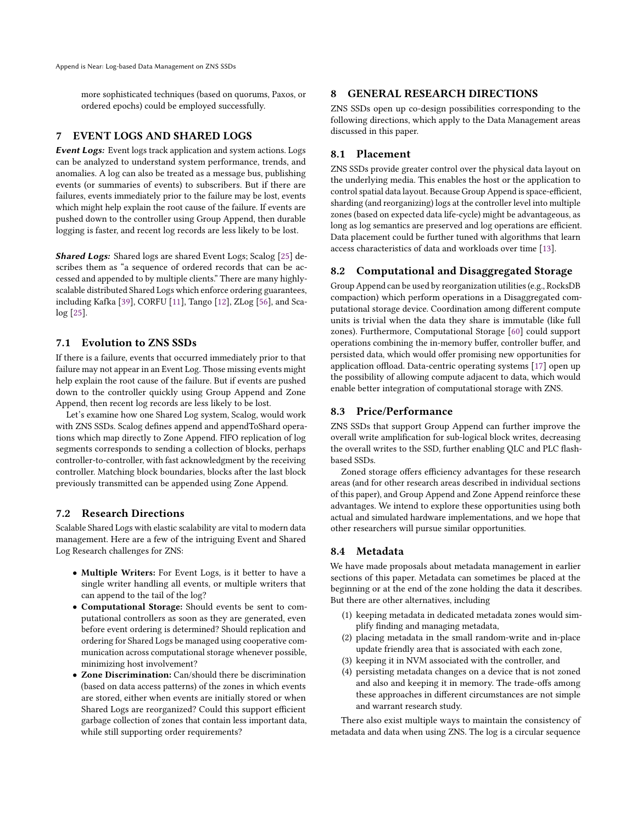more sophisticated techniques (based on quorums, Paxos, or ordered epochs) could be employed successfully.

# <span id="page-6-0"></span>7 EVENT LOGS AND SHARED LOGS

Event Logs: Event logs track application and system actions. Logs can be analyzed to understand system performance, trends, and anomalies. A log can also be treated as a message bus, publishing events (or summaries of events) to subscribers. But if there are failures, events immediately prior to the failure may be lost, events which might help explain the root cause of the failure. If events are pushed down to the controller using Group Append, then durable logging is faster, and recent log records are less likely to be lost.

Shared Logs: Shared logs are shared Event Logs; Scalog [\[25\]](#page-8-35) describes them as "a sequence of ordered records that can be accessed and appended to by multiple clients." There are many highlyscalable distributed Shared Logs which enforce ordering guarantees, including Kafka [\[39\]](#page-8-36), CORFU [\[11\]](#page-7-9), Tango [\[12\]](#page-8-37), ZLog [\[56\]](#page-8-38), and Scalog [\[25\]](#page-8-35).

# 7.1 Evolution to ZNS SSDs

If there is a failure, events that occurred immediately prior to that failure may not appear in an Event Log. Those missing events might help explain the root cause of the failure. But if events are pushed down to the controller quickly using Group Append and Zone Append, then recent log records are less likely to be lost.

Let's examine how one Shared Log system, Scalog, would work with ZNS SSDs. Scalog defines append and appendToShard operations which map directly to Zone Append. FIFO replication of log segments corresponds to sending a collection of blocks, perhaps controller-to-controller, with fast acknowledgment by the receiving controller. Matching block boundaries, blocks after the last block previously transmitted can be appended using Zone Append.

# 7.2 Research Directions

Scalable Shared Logs with elastic scalability are vital to modern data management. Here are a few of the intriguing Event and Shared Log Research challenges for ZNS:

- Multiple Writers: For Event Logs, is it better to have a single writer handling all events, or multiple writers that can append to the tail of the log?
- Computational Storage: Should events be sent to computational controllers as soon as they are generated, even before event ordering is determined? Should replication and ordering for Shared Logs be managed using cooperative communication across computational storage whenever possible, minimizing host involvement?
- Zone Discrimination: Can/should there be discrimination (based on data access patterns) of the zones in which events are stored, either when events are initially stored or when Shared Logs are reorganized? Could this support efficient garbage collection of zones that contain less important data, while still supporting order requirements?

## 8 GENERAL RESEARCH DIRECTIONS

ZNS SSDs open up co-design possibilities corresponding to the following directions, which apply to the Data Management areas discussed in this paper.

# 8.1 Placement

ZNS SSDs provide greater control over the physical data layout on the underlying media. This enables the host or the application to control spatial data layout. Because Group Append is space-efficient, sharding (and reorganizing) logs at the controller level into multiple zones (based on expected data life-cycle) might be advantageous, as long as log semantics are preserved and log operations are efficient. Data placement could be further tuned with algorithms that learn access characteristics of data and workloads over time [\[13\]](#page-8-39).

## 8.2 Computational and Disaggregated Storage

Group Append can be used by reorganization utilities (e.g., RocksDB compaction) which perform operations in a Disaggregated computational storage device. Coordination among different compute units is trivial when the data they share is immutable (like full zones). Furthermore, Computational Storage [\[60\]](#page-9-8) could support operations combining the in-memory buffer, controller buffer, and persisted data, which would offer promising new opportunities for application offload. Data-centric operating systems [\[17\]](#page-8-40) open up the possibility of allowing compute adjacent to data, which would enable better integration of computational storage with ZNS.

## 8.3 Price/Performance

ZNS SSDs that support Group Append can further improve the overall write amplification for sub-logical block writes, decreasing the overall writes to the SSD, further enabling QLC and PLC flashbased SSDs.

Zoned storage offers efficiency advantages for these research areas (and for other research areas described in individual sections of this paper), and Group Append and Zone Append reinforce these advantages. We intend to explore these opportunities using both actual and simulated hardware implementations, and we hope that other researchers will pursue similar opportunities.

# 8.4 Metadata

We have made proposals about metadata management in earlier sections of this paper. Metadata can sometimes be placed at the beginning or at the end of the zone holding the data it describes. But there are other alternatives, including

- (1) keeping metadata in dedicated metadata zones would simplify finding and managing metadata,
- (2) placing metadata in the small random-write and in-place update friendly area that is associated with each zone,
- (3) keeping it in NVM associated with the controller, and
- (4) persisting metadata changes on a device that is not zoned and also and keeping it in memory. The trade-offs among these approaches in different circumstances are not simple and warrant research study.

There also exist multiple ways to maintain the consistency of metadata and data when using ZNS. The log is a circular sequence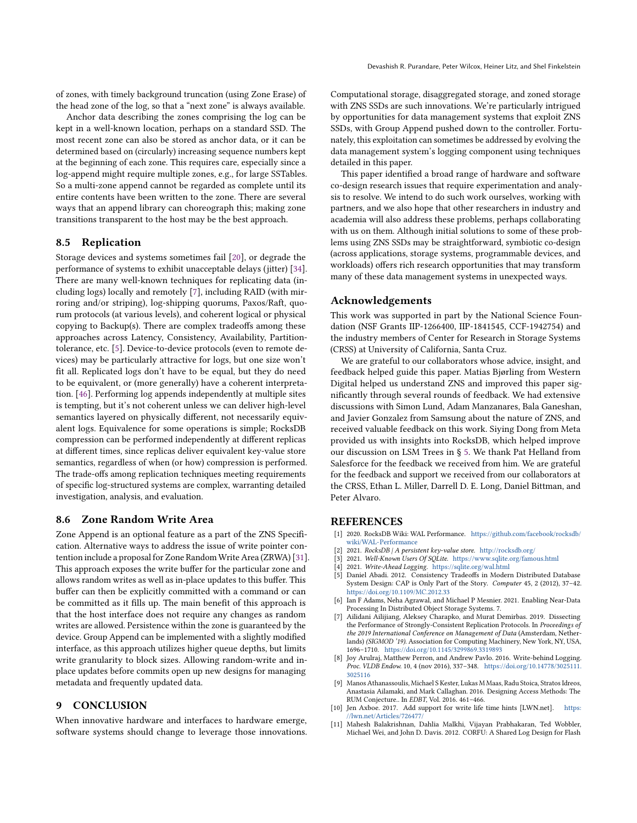of zones, with timely background truncation (using Zone Erase) of the head zone of the log, so that a "next zone" is always available.

Anchor data describing the zones comprising the log can be kept in a well-known location, perhaps on a standard SSD. The most recent zone can also be stored as anchor data, or it can be determined based on (circularly) increasing sequence numbers kept at the beginning of each zone. This requires care, especially since a log-append might require multiple zones, e.g., for large SSTables. So a multi-zone append cannot be regarded as complete until its entire contents have been written to the zone. There are several ways that an append library can choreograph this; making zone transitions transparent to the host may be the best approach.

#### 8.5 Replication

Storage devices and systems sometimes fail [\[20\]](#page-8-41), or degrade the performance of systems to exhibit unacceptable delays (jitter) [\[34\]](#page-8-42). There are many well-known techniques for replicating data (including logs) locally and remotely [\[7\]](#page-7-10), including RAID (with mirroring and/or striping), log-shipping quorums, Paxos/Raft, quorum protocols (at various levels), and coherent logical or physical copying to Backup(s). There are complex tradeoffs among these approaches across Latency, Consistency, Availability, Partitiontolerance, etc. [\[5\]](#page-7-11). Device-to-device protocols (even to remote devices) may be particularly attractive for logs, but one size won't fit all. Replicated logs don't have to be equal, but they do need to be equivalent, or (more generally) have a coherent interpretation. [\[46\]](#page-8-43). Performing log appends independently at multiple sites is tempting, but it's not coherent unless we can deliver high-level semantics layered on physically different, not necessarily equivalent logs. Equivalence for some operations is simple; RocksDB compression can be performed independently at different replicas at different times, since replicas deliver equivalent key-value store semantics, regardless of when (or how) compression is performed. The trade-offs among replication techniques meeting requirements of specific log-structured systems are complex, warranting detailed investigation, analysis, and evaluation.

## <span id="page-7-0"></span>8.6 Zone Random Write Area

Zone Append is an optional feature as a part of the ZNS Specification. Alternative ways to address the issue of write pointer contention include a proposal for Zone Random Write Area (ZRWA) [\[31\]](#page-8-44). This approach exposes the write buffer for the particular zone and allows random writes as well as in-place updates to this buffer. This buffer can then be explicitly committed with a command or can be committed as it fills up. The main benefit of this approach is that the host interface does not require any changes as random writes are allowed. Persistence within the zone is guaranteed by the device. Group Append can be implemented with a slightly modified interface, as this approach utilizes higher queue depths, but limits write granularity to block sizes. Allowing random-write and inplace updates before commits open up new designs for managing metadata and frequently updated data.

# 9 CONCLUSION

When innovative hardware and interfaces to hardware emerge, software systems should change to leverage those innovations.

Computational storage, disaggregated storage, and zoned storage with ZNS SSDs are such innovations. We're particularly intrigued by opportunities for data management systems that exploit ZNS SSDs, with Group Append pushed down to the controller. Fortunately, this exploitation can sometimes be addressed by evolving the data management system's logging component using techniques detailed in this paper.

This paper identified a broad range of hardware and software co-design research issues that require experimentation and analysis to resolve. We intend to do such work ourselves, working with partners, and we also hope that other researchers in industry and academia will also address these problems, perhaps collaborating with us on them. Although initial solutions to some of these problems using ZNS SSDs may be straightforward, symbiotic co-design (across applications, storage systems, programmable devices, and workloads) offers rich research opportunities that may transform many of these data management systems in unexpected ways.

## Acknowledgements

This work was supported in part by the National Science Foundation (NSF Grants IIP-1266400, IIP-1841545, CCF-1942754) and the industry members of Center for Research in Storage Systems (CRSS) at University of California, Santa Cruz.

We are grateful to our collaborators whose advice, insight, and feedback helped guide this paper. Matias Bjørling from Western Digital helped us understand ZNS and improved this paper significantly through several rounds of feedback. We had extensive discussions with Simon Lund, Adam Manzanares, Bala Ganeshan, and Javier Gonzalez from Samsung about the nature of ZNS, and received valuable feedback on this work. Siying Dong from Meta provided us with insights into RocksDB, which helped improve our discussion on LSM Trees in § [5.](#page-3-1) We thank Pat Helland from Salesforce for the feedback we received from him. We are grateful for the feedback and support we received from our collaborators at the CRSS, Ethan L. Miller, Darrell D. E. Long, Daniel Bittman, and Peter Alvaro.

## REFERENCES

- <span id="page-7-5"></span>[1] 2020. RocksDB Wiki: WAL Performance. [https://github.com/facebook/rocksdb/](https://github.com/facebook/rocksdb/wiki/WAL-Performance) [wiki/WAL-Performance](https://github.com/facebook/rocksdb/wiki/WAL-Performance)
- <span id="page-7-3"></span>[2] 2021. RocksDB | A persistent key-value store. <http://rocksdb.org/>
- <span id="page-7-7"></span>2021. Well-Known Users Of SQLite. <https://www.sqlite.org/famous.html>
- <span id="page-7-6"></span>[4] 2021. Write-Ahead Logging. <https://sqlite.org/wal.html>
- <span id="page-7-11"></span>Daniel Abadi. 2012. Consistency Tradeoffs in Modern Distributed Database System Design: CAP is Only Part of the Story. Computer 45, 2 (2012), 37–42. <https://doi.org/10.1109/MC.2012.33>
- <span id="page-7-1"></span>Ian F Adams, Neha Agrawal, and Michael P Mesnier. 2021. Enabling Near-Data Processing In Distributed Object Storage Systems. 7.
- <span id="page-7-10"></span>[7] Ailidani Ailijiang, Aleksey Charapko, and Murat Demirbas. 2019. Dissecting the Performance of Strongly-Consistent Replication Protocols. In Proceedings of the 2019 International Conference on Management of Data (Amsterdam, Netherlands) (SIGMOD '19). Association for Computing Machinery, New York, NY, USA, 1696–1710. <https://doi.org/10.1145/3299869.3319893>
- <span id="page-7-8"></span>[8] Joy Arulraj, Matthew Perron, and Andrew Pavlo. 2016. Write-behind Logging. Proc. VLDB Endow. 10, 4 (nov 2016), 337–348. [https://doi.org/10.14778/3025111.](https://doi.org/10.14778/3025111.3025116) [3025116](https://doi.org/10.14778/3025111.3025116)
- <span id="page-7-2"></span>[9] Manos Athanassoulis, Michael S Kester, Lukas M Maas, Radu Stoica, Stratos Idreos, Anastasia Ailamaki, and Mark Callaghan. 2016. Designing Access Methods: The RUM Conjecture.. In EDBT, Vol. 2016. 461–466.
- <span id="page-7-4"></span>[10] Jen Axboe. 2017. Add support for write life time hints [LWN.net]. [https:](https://lwn.net/Articles/726477/) [//lwn.net/Articles/726477/](https://lwn.net/Articles/726477/)
- <span id="page-7-9"></span>[11] Mahesh Balakrishnan, Dahlia Malkhi, Vijayan Prabhakaran, Ted Wobbler, Michael Wei, and John D. Davis. 2012. CORFU: A Shared Log Design for Flash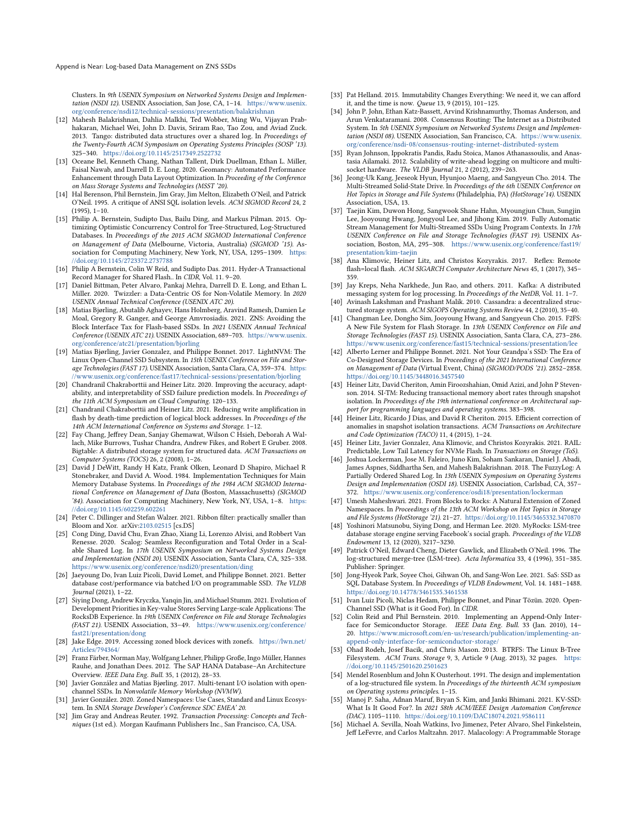Append is Near: Log-based Data Management on ZNS SSDs

Clusters. In 9th USENIX Symposium on Networked Systems Design and Implementation (NSDI 12). USENIX Association, San Jose, CA, 1–14. [https://www.usenix.](https://www.usenix.org/conference/nsdi12/technical-sessions/presentation/balakrishnan) [org/conference/nsdi12/technical-sessions/presentation/balakrishnan](https://www.usenix.org/conference/nsdi12/technical-sessions/presentation/balakrishnan)

- <span id="page-8-37"></span>[12] Mahesh Balakrishnan, Dahlia Malkhi, Ted Wobber, Ming Wu, Vijayan Prabhakaran, Michael Wei, John D. Davis, Sriram Rao, Tao Zou, and Aviad Zuck. 2013. Tango: distributed data structures over a shared log. In Proceedings of the Twenty-Fourth ACM Symposium on Operating Systems Principles (SOSP '13). 325–340. <https://doi.org/10.1145/2517349.2522732>
- <span id="page-8-39"></span>[13] Oceane Bel, Kenneth Chang, Nathan Tallent, Dirk Duellman, Ethan L. Miller, Faisal Nawab, and Darrell D. E. Long. 2020. Geomancy: Automated Performance Enhancement through Data Layout Optimization. In Proceeding of the Conference on Mass Storage Systems and Technologies (MSST '20).
- <span id="page-8-3"></span>[14] Hal Berenson, Phil Bernstein, Jim Gray, Jim Melton, Elizabeth O'Neil, and Patrick O'Neil. 1995. A critique of ANSI SQL isolation levels. ACM SIGMOD Record 24, 2 (1995), 1–10.
- <span id="page-8-19"></span>[15] Philip A. Bernstein, Sudipto Das, Bailu Ding, and Markus Pilman. 2015. Optimizing Optimistic Concurrency Control for Tree-Structured, Log-Structured Databases. In Proceedings of the 2015 ACM SIGMOD International Conference on Management of Data (Melbourne, Victoria, Australia) (SIGMOD<sup>'15</sup>). Association for Computing Machinery, New York, NY, USA, 1295–1309. [https:](https://doi.org/10.1145/2723372.2737788) [//doi.org/10.1145/2723372.2737788](https://doi.org/10.1145/2723372.2737788)
- <span id="page-8-8"></span>[16] Philip A Bernstein, Colin W Reid, and Sudipto Das. 2011. Hyder-A Transactional Record Manager for Shared Flash.. In CIDR, Vol. 11. 9–20.
- <span id="page-8-40"></span>[17] Daniel Bittman, Peter Alvaro, Pankaj Mehra, Darrell D. E. Long, and Ethan L. Miller. 2020. Twizzler: a Data-Centric OS for Non-Volatile Memory. In 2020 USENIX Annual Technical Conference (USENIX ATC 20).
- <span id="page-8-2"></span>[18] Matias Bjørling, Abutalib Aghayev, Hans Holmberg, Aravind Ramesh, Damien Le Moal, Gregory R. Ganger, and George Amvrosiadis. 2021. ZNS: Avoiding the Block Interface Tax for Flash-based SSDs. In 2021 USENIX Annual Technical Conference (USENIX ATC 21). USENIX Association, 689–703. [https://www.usenix.](https://www.usenix.org/conference/atc21/presentation/bjorling) [org/conference/atc21/presentation/bjorling](https://www.usenix.org/conference/atc21/presentation/bjorling)
- <span id="page-8-16"></span>[19] Matias Bjørling, Javier Gonzalez, and Philippe Bonnet. 2017. LightNVM: The Linux Open-Channel SSD Subsystem. In 15th USENIX Conference on File and Storage Technologies (FAST 17). USENIX Association, Santa Clara, CA, 359–374. [https:](https://www.usenix.org/conference/fast17/technical-sessions/presentation/bjorling) [//www.usenix.org/conference/fast17/technical-sessions/presentation/bjorling](https://www.usenix.org/conference/fast17/technical-sessions/presentation/bjorling)
- <span id="page-8-41"></span>[20] Chandranil Chakraborttii and Heiner Litz. 2020. Improving the accuracy, adaptability, and interpretability of SSD failure prediction models. In *Proceedings of* the 11th ACM Symposium on Cloud Computing. 120–133.
- <span id="page-8-21"></span>[21] Chandranil Chakraborttii and Heiner Litz. 2021. Reducing write amplification in flash by death-time prediction of logical block addresses. In Proceedings of the 14th ACM International Conference on Systems and Storage. 1–12.
- <span id="page-8-27"></span>[22] Fay Chang, Jeffrey Dean, Sanjay Ghemawat, Wilson C Hsieh, Deborah A Wallach, Mike Burrows, Tushar Chandra, Andrew Fikes, and Robert E Gruber. 2008. Bigtable: A distributed storage system for structured data. ACM Transactions on Computer Systems (TOCS) 26, 2 (2008), 1–26.
- <span id="page-8-31"></span>[23] David J DeWitt, Randy H Katz, Frank Olken, Leonard D Shapiro, Michael R Stonebraker, and David A. Wood. 1984. Implementation Techniques for Main Memory Database Systems. In Proceedings of the 1984 ACM SIGMOD International Conference on Management of Data (Boston, Massachusetts) (SIGMOD '84). Association for Computing Machinery, New York, NY, USA, 1–8. [https:](https://doi.org/10.1145/602259.602261) [//doi.org/10.1145/602259.602261](https://doi.org/10.1145/602259.602261)
- <span id="page-8-30"></span>[24] Peter C. Dillinger and Stefan Walzer. 2021. Ribbon filter: practically smaller than Bloom and Xor. arXiv[:2103.02515](https://arxiv.org/abs/2103.02515) [cs.DS]
- <span id="page-8-35"></span>[25] Cong Ding, David Chu, Evan Zhao, Xiang Li, Lorenzo Alvisi, and Robbert Van Renesse. 2020. Scalog: Seamless Reconfiguration and Total Order in a Scalable Shared Log. In 17th USENIX Symposium on Networked Systems Design and Implementation (NSDI 20). USENIX Association, Santa Clara, CA, 325–338. <https://www.usenix.org/conference/nsdi20/presentation/ding>
- <span id="page-8-20"></span>[26] Jaeyoung Do, Ivan Luiz Picoli, David Lomet, and Philippe Bonnet. 2021. Better database cost/performance via batched I/O on programmable SSD. The VLDB Journal (2021), 1–22.
- <span id="page-8-29"></span>[27] Siying Dong, Andrew Kryczka, Yanqin Jin, and Michael Stumm. 2021. Evolution of Development Priorities in Key-value Stores Serving Large-scale Applications: The RocksDB Experience. In 19th USENIX Conference on File and Storage Technologies (FAST 21). USENIX Association, 33–49. [https://www.usenix.org/conference/](https://www.usenix.org/conference/fast21/presentation/dong) [fast21/presentation/dong](https://www.usenix.org/conference/fast21/presentation/dong)
- <span id="page-8-28"></span>[28] Jake Edge. 2019. Accessing zoned block devices with zonefs. [https://lwn.net/](https://lwn.net/Articles/794364/) [Articles/794364/](https://lwn.net/Articles/794364/)
- <span id="page-8-34"></span>[29] Franz Färber, Norman May, Wolfgang Lehner, Philipp Große, Ingo Müller, Hannes Rauhe, and Jonathan Dees. 2012. The SAP HANA Database–An Architecture Overview. IEEE Data Eng. Bull. 35, 1 (2012), 28–33.
- <span id="page-8-13"></span>[30] Javier González and Matias Bjørling. 2017. Multi-tenant I/O isolation with openchannel SSDs. In Nonvolatile Memory Workshop (NVMW).
- <span id="page-8-44"></span>[31] Javier González. 2020. Zoned Namespaces: Use Cases, Standard and Linux Ecosystem. In SNIA Storage Developer's Conference SDC EMEA' 20.
- <span id="page-8-9"></span>[32] Jim Gray and Andreas Reuter. 1992. Transaction Processing: Concepts and Techniques (1st ed.). Morgan Kaufmann Publishers Inc., San Francisco, CA, USA.
- <span id="page-8-4"></span>[33] Pat Helland. 2015. Immutability Changes Everything: We need it, we can afford it, and the time is now. Queue 13, 9 (2015), 101–125.
- <span id="page-8-42"></span>[34] John P. John, Ethan Katz-Bassett, Arvind Krishnamurthy, Thomas Anderson, and Arun Venkataramani. 2008. Consensus Routing: The Internet as a Distributed System. In 5th USENIX Symposium on Networked Systems Design and Implementation (NSDI 08). USENIX Association, San Francisco, CA. [https://www.usenix.](https://www.usenix.org/conference/nsdi-08/consensus-routing-internet-distributed-system) [org/conference/nsdi-08/consensus-routing-internet-distributed-system](https://www.usenix.org/conference/nsdi-08/consensus-routing-internet-distributed-system)
- <span id="page-8-32"></span>[35] Ryan Johnson, Ippokratis Pandis, Radu Stoica, Manos Athanassoulis, and Anastasia Ailamaki. 2012. Scalability of write-ahead logging on multicore and multisocket hardware. The VLDB Journal 21, 2 (2012), 239–263.
- <span id="page-8-17"></span>[36] Jeong-Uk Kang, Jeeseok Hyun, Hyunjoo Maeng, and Sangyeun Cho. 2014. The Multi-Streamed Solid-State Drive. In Proceedings of the 6th USENIX Conference on Hot Topics in Storage and File Systems (Philadelphia, PA) (HotStorage'14). USENIX Association, USA, 13.
- <span id="page-8-18"></span>[37] Taejin Kim, Duwon Hong, Sangwook Shane Hahn, Myoungjun Chun, Sungjin Lee, Jooyoung Hwang, Jongyoul Lee, and Jihong Kim. 2019. Fully Automatic Stream Management for Multi-Streamed SSDs Using Program Contexts. In 17th USENIX Conference on File and Storage Technologies (FAST 19). USENIX Association, Boston, MA, 295–308. [https://www.usenix.org/conference/fast19/](https://www.usenix.org/conference/fast19/presentation/kim-taejin) [presentation/kim-taejin](https://www.usenix.org/conference/fast19/presentation/kim-taejin)
- <span id="page-8-0"></span>[38] Ana Klimovic, Heiner Litz, and Christos Kozyrakis. 2017. Reflex: Remote flash=local flash. ACM SIGARCH Computer Architecture News 45, 1 (2017), 345– 359.
- <span id="page-8-36"></span>[39] Jay Kreps, Neha Narkhede, Jun Rao, and others. 2011. Kafka: A distributed messaging system for log processing. In Proceedings of the NetDB, Vol. 11. 1–7.
- <span id="page-8-26"></span>[40] Avinash Lakshman and Prashant Malik. 2010. Cassandra: a decentralized structured storage system. ACM SIGOPS Operating Systems Review 44, 2 (2010), 35–40.
- <span id="page-8-23"></span>[41] Changman Lee, Dongho Sim, Jooyoung Hwang, and Sangyeun Cho. 2015. F2FS: A New File System for Flash Storage. In 13th USENIX Conference on File and Storage Technologies (FAST 15). USENIX Association, Santa Clara, CA, 273–286. <https://www.usenix.org/conference/fast15/technical-sessions/presentation/lee>
- <span id="page-8-1"></span>[42] Alberto Lerner and Philippe Bonnet. 2021. Not Your Grandpa's SSD: The Era of Co-Designed Storage Devices. In Proceedings of the 2021 International Conference on Management of Data (Virtual Event, China) (SIGMOD/PODS '21). 2852–2858. <https://doi.org/10.1145/3448016.3457540>
- <span id="page-8-5"></span>[43] Heiner Litz, David Cheriton, Amin Firoozshahian, Omid Azizi, and John P Stevenson. 2014. SI-TM: Reducing transactional memory abort rates through snapshot isolation. In Proceedings of the 19th international conference on Architectural support for programming languages and operating systems. 383–398.
- <span id="page-8-6"></span>[44] Heiner Litz, Ricardo J Dias, and David R Cheriton. 2015. Efficient correction of anomalies in snapshot isolation transactions. ACM Transactions on Architecture and Code Optimization (TACO) 11, 4 (2015), 1–24.
- <span id="page-8-14"></span>[45] Heiner Litz, Javier Gonzalez, Ana Klimovic, and Christos Kozyrakis. 2021. RAIL: Predictable, Low Tail Latency for NVMe Flash. In Transactions on Storage (ToS).
- <span id="page-8-43"></span>[46] Joshua Lockerman, Jose M. Faleiro, Juno Kim, Soham Sankaran, Daniel J. Abadi, James Aspnes, Siddhartha Sen, and Mahesh Balakrishnan. 2018. The FuzzyLog: A Partially Ordered Shared Log. In 13th USENIX Symposium on Operating Systems Design and Implementation (OSDI 18). USENIX Association, Carlsbad, CA, 357– 372. <https://www.usenix.org/conference/osdi18/presentation/lockerman>
- <span id="page-8-11"></span>[47] Umesh Maheshwari. 2021. From Blocks to Rocks: A Natural Extension of Zoned Namespaces. In Proceedings of the 13th ACM Workshop on Hot Topics in Storage and File Systems (HotStorage '21). 21–27. <https://doi.org/10.1145/3465332.3470870>
- <span id="page-8-33"></span>[48] Yoshinori Matsunobu, Siying Dong, and Herman Lee. 2020. MyRocks: LSM-tree database storage engine serving Facebook's social graph. Proceedings of the VLDB Endowment 13, 12 (2020), 3217–3230.
- <span id="page-8-25"></span>[49] Patrick O'Neil, Edward Cheng, Dieter Gawlick, and Elizabeth O'Neil. 1996. The log-structured merge-tree (LSM-tree). Acta Informatica 33, 4 (1996), 351–385. Publisher: Springer.
- <span id="page-8-22"></span>[50] Jong-Hyeok Park, Soyee Choi, Gihwan Oh, and Sang-Won Lee. 2021. SaS: SSD as SQL Database System. In Proceedings of VLDB Endowment, Vol. 14. 1481–1488. <https://doi.org/10.14778/3461535.3461538>
- <span id="page-8-15"></span>[51] Ivan Luiz Picoli, Niclas Hedam, Philippe Bonnet, and Pinar Tözün. 2020. Open-Channel SSD (What is it Good For). In CIDR.
- <span id="page-8-10"></span>[52] Colin Reid and Phil Bernstein. 2010. Implementing an Append-Only Interface for Semiconductor Storage. IEEE Data Eng. Bull. 33 (Jan. 2010), 14– 20. [https://www.microsoft.com/en-us/research/publication/implementing-an](https://www.microsoft.com/en-us/research/publication/implementing-an-append-only-interface-for-semiconductor-storage/)[append-only-interface-for-semiconductor-storage/](https://www.microsoft.com/en-us/research/publication/implementing-an-append-only-interface-for-semiconductor-storage/)
- <span id="page-8-24"></span>[53] Ohad Rodeh, Josef Bacik, and Chris Mason. 2013. BTRFS: The Linux B-Tree Filesystem. ACM Trans. Storage 9, 3, Article 9 (Aug. 2013), 32 pages. [https:](https://doi.org/10.1145/2501620.2501623) [//doi.org/10.1145/2501620.2501623](https://doi.org/10.1145/2501620.2501623)
- <span id="page-8-7"></span>[54] Mendel Rosenblum and John K Ousterhout. 1991. The design and implementation of a log-structured file system. In Proceedings of the thirteenth ACM symposium on Operating systems principles. 1–15.
- <span id="page-8-12"></span>[55] Manoj P. Saha, Adnan Maruf, Bryan S. Kim, and Janki Bhimani. 2021. KV-SSD: What Is It Good For?. In 2021 58th ACM/IEEE Design Automation Conference (DAC). 1105–1110. <https://doi.org/10.1109/DAC18074.2021.9586111>
- <span id="page-8-38"></span>[56] Michael A. Sevilla, Noah Watkins, Ivo Jimenez, Peter Alvaro, Shel Finkelstein, Jeff LeFevre, and Carlos Maltzahn. 2017. Malacology: A Programmable Storage